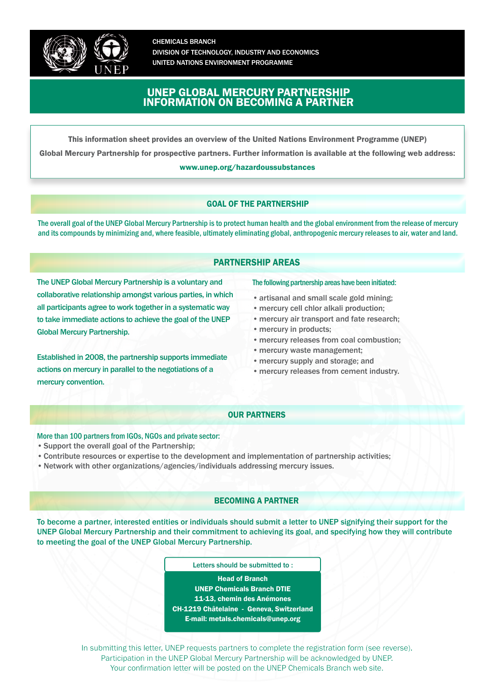

CHEMICALS BRANCH DIVISION OF TECHNOLOGY, INDUSTRY AND ECONOMICS UNITED NATIONS ENVIRONMENT PROGRAMME

# UNEP GLOBAL MERCURY PARTNERSHIP INFORMATION ON BECOMING A PARTNER

This information sheet provides an overview of the United Nations Environment Programme (UNEP)

Global Mercury Partnership for prospective partners. Further information is available at the following web address:

[www.unep.org/hazardoussubstances](http://www.unep.org/hazardoussubstances/Mercury/tabid/434/language/en-US/Default.aspx)

## GOAL OF THE PARTNERSHIP

The overall goal of the UNEP Global Mercury Partnership is to protect human health and the global environment from the release of mercury and its compounds by minimizing and, where feasible, ultimately eliminating global, anthropogenic mercury releases to air, water and land.

## PARTNERSHIP AREAS

The UNEP Global Mercury Partnership is a voluntary and collaborative relationship amongst various parties, in which all participants agree to work together in a systematic way to take immediate actions to achieve the goal of the UNEP Global Mercury Partnership.

Established in 2008, the partnership supports immediate actions on mercury in parallel to the negotiations of a mercury convention.

#### The following partnership areas have been initiated:

- artisanal and small scale gold mining:
- mercury cell chlor alkali production;
- mercury air transport and fate research;
- mercury in products;
- • mercury releases from coal combustion;
- mercury waste management:
- mercury supply and storage; and
- mercury releases from cement industry.

### OUR PARTNERS

More than 100 partners from IGOs, NGOs and private sector:

- • Support the overall goal of the Partnership;
- • Contribute resources or expertise to the development and implementation of partnership activities;
- • Network with other organizations/agencies/individuals addressing mercury issues.

#### BECOMING A PARTNER

To become a partner, interested entities or individuals should submit a letter to UNEP signifying their support for the UNEP Global Mercury Partnership and their commitment to achieving its goal, and specifying how they will contribute to meeting the goal of the UNEP Global Mercury Partnership.

Letters should be submitted to :

Head of Branch UNEP Chemicals Branch DTIE 11-13, chemin des Anémones CH-1219 Châtelaine - Geneva, Switzerland [E-mail:](mailto:mercury@chemicals.unep.ch) metals.chemicals@unep.org

In submitting this letter, UNEP requests partners to complete the registration form (see reverse). Participation in the UNEP Global Mercury Partnership will be acknowledged by UNEP. Your confirmation letter will be posted on the UNEP Chemicals Branch web site.